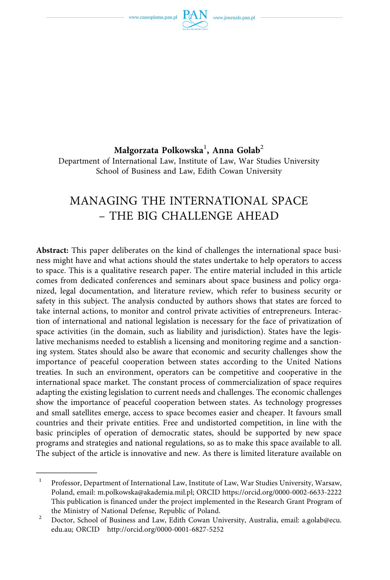www.czasopisma.pan.pl



### **Małgorzata Polkowska**<sup>1</sup> **, Anna Golab**<sup>2</sup> Department of International Law, Institute of Law, War Studies University

School of Business and Law, Edith Cowan University

# MANAGING THE INTERNATIONAL SPACE – THE BIG CHALLENGE AHEAD

**Abstract:** This paper deliberates on the kind of challenges the international space business might have and what actions should the states undertake to help operators to access to space. This is a qualitative research paper. The entire material included in this article comes from dedicated conferences and seminars about space business and policy organized, legal documentation, and literature review, which refer to business security or safety in this subject. The analysis conducted by authors shows that states are forced to take internal actions, to monitor and control private activities of entrepreneurs. Interaction of international and national legislation is necessary for the face of privatization of space activities (in the domain, such as liability and jurisdiction). States have the legislative mechanisms needed to establish a licensing and monitoring regime and a sanctioning system. States should also be aware that economic and security challenges show the importance of peaceful cooperation between states according to the United Nations treaties. In such an environment, operators can be competitive and cooperative in the international space market. The constant process of commercialization of space requires adapting the existing legislation to current needs and challenges. The economic challenges show the importance of peaceful cooperation between states. As technology progresses and small satellites emerge, access to space becomes easier and cheaper. It favours small countries and their private entities. Free and undistorted competition, in line with the basic principles of operation of democratic states, should be supported by new space programs and strategies and national regulations, so as to make this space available to all. The subject of the article is innovative and new. As there is limited literature available on

<sup>&</sup>lt;sup>1</sup> Professor, Department of International Law, Institute of Law, War Studies University, Warsaw, Poland, email: m.polkowska@akademia.mil.pl; ORCID <https://orcid.org/0000-0002-6633-2222> This publication is financed under the project implemented in the Research Grant Program of the Ministry of National Defense, Republic of Poland.<br><sup>2</sup> Doctor, School of Business and Law, Edith Cowan University, Australia, email: a.golab@ecu.

edu.au; ORCID <http://orcid.org/0000-0001-6827-5252>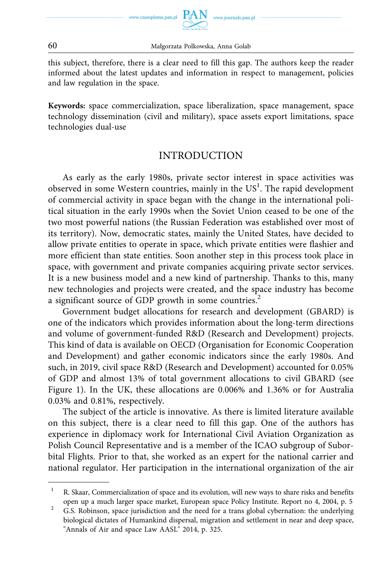this subject, therefore, there is a clear need to fill this gap. The authors keep the reader informed about the latest updates and information in respect to management, policies and law regulation in the space.

**Keywords:** space commercialization, space liberalization, space management, space technology dissemination (civil and military), space assets export limitations, space technologies dual-use

### INTRODUCTION

As early as the early 1980s, private sector interest in space activities was observed in some Western countries, mainly in the  $US<sup>1</sup>$ . The rapid development of commercial activity in space began with the change in the international political situation in the early 1990s when the Soviet Union ceased to be one of the two most powerful nations (the Russian Federation was established over most of its territory). Now, democratic states, mainly the United States, have decided to allow private entities to operate in space, which private entities were flashier and more efficient than state entities. Soon another step in this process took place in space, with government and private companies acquiring private sector services. It is a new business model and a new kind of partnership. Thanks to this, many new technologies and projects were created, and the space industry has become a significant source of GDP growth in some countries.<sup>2</sup>

Government budget allocations for research and development (GBARD) is one of the indicators which provides information about the long-term directions and volume of government-funded R&D (Research and Development) projects. This kind of data is available on OECD (Organisation for Economic Cooperation and Development) and gather economic indicators since the early 1980s. And such, in 2019, civil space R&D (Research and Development) accounted for 0.05% of GDP and almost 13% of total government allocations to civil GBARD (see Figure 1). In the UK, these allocations are 0.006% and 1.36% or for Australia 0.03% and 0.81%, respectively.

The subject of the article is innovative. As there is limited literature available on this subject, there is a clear need to fill this gap. One of the authors has experience in diplomacy work for International Civil Aviation Organization as Polish Council Representative and is a member of the ICAO subgroup of Suborbital Flights. Prior to that, she worked as an expert for the national carrier and national regulator. Her participation in the international organization of the air

<sup>&</sup>lt;sup>1</sup> R. Skaar, Commercialization of space and its evolution, will new ways to share risks and benefits

open up a much larger space market, European space Policy Institute. Report no 4, 2004, p. 5<br><sup>2</sup> G.S. Robinson, space jurisdiction and the need for a trans global cybernation: the underlying biological dictates of Humankind dispersal, migration and settlement in near and deep space, "Annals of Air and space Law AASL" 2014, p. 325.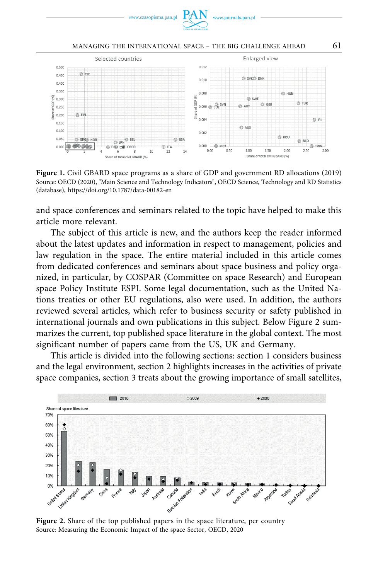

#### MANAGING THE INTERNATIONAL SPACE – THE BIG CHALLENGE AHEAD 61



**Figure 1.** Civil GBARD space programs as a share of GDP and government RD allocations (2019) Source: OECD (2020), "Main Science and Technology Indicators", OECD Science, Technology and RD Statistics (database), <https://doi.org/10.1787/data-00182-en>

and space conferences and seminars related to the topic have helped to make this article more relevant.

The subject of this article is new, and the authors keep the reader informed about the latest updates and information in respect to management, policies and law regulation in the space. The entire material included in this article comes from dedicated conferences and seminars about space business and policy organized, in particular, by COSPAR (Committee on space Research) and European space Policy Institute ESPI. Some legal documentation, such as the United Nations treaties or other EU regulations, also were used. In addition, the authors reviewed several articles, which refer to business security or safety published in international journals and own publications in this subject. Below Figure 2 summarizes the current, top published space literature in the global context. The most significant number of papers came from the US, UK and Germany.

This article is divided into the following sections: section 1 considers business and the legal environment, section 2 highlights increases in the activities of private space companies, section 3 treats about the growing importance of small satellites,



**Figure 2.** Share of the top published papers in the space literature, per country Source: Measuring the Economic Impact of the space Sector, OECD, 2020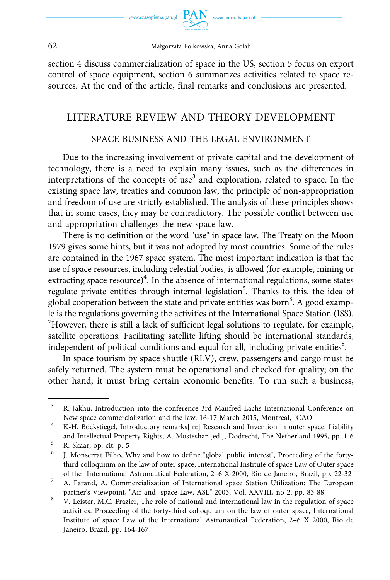

www.journals.pan.p

section 4 discuss commercialization of space in the US, section 5 focus on export control of space equipment, section 6 summarizes activities related to space resources. At the end of the article, final remarks and conclusions are presented.

### LITERATURE REVIEW AND THEORY DEVELOPMENT

### SPACE BUSINESS AND THE LEGAL ENVIRONMENT

Due to the increasing involvement of private capital and the development of technology, there is a need to explain many issues, such as the differences in interpretations of the concepts of use<sup>3</sup> and exploration, related to space. In the existing space law, treaties and common law, the principle of non-appropriation and freedom of use are strictly established. The analysis of these principles shows that in some cases, they may be contradictory. The possible conflict between use and appropriation challenges the new space law.

There is no definition of the word "use" in space law. The Treaty on the Moon 1979 gives some hints, but it was not adopted by most countries. Some of the rules are contained in the 1967 space system. The most important indication is that the use of space resources, including celestial bodies, is allowed (for example, mining or extracting space resource)<sup>4</sup>. In the absence of international regulations, some states regulate private entities through internal legislation<sup>5</sup>. Thanks to this, the idea of global cooperation between the state and private entities was born<sup>6</sup>. A good example is the regulations governing the activities of the International Space Station (ISS). 7 However, there is still a lack of sufficient legal solutions to regulate, for example, satellite operations. Facilitating satellite lifting should be international standards, independent of political conditions and equal for all, including private entities<sup>8</sup>.

In space tourism by space shuttle (RLV), crew, passengers and cargo must be safely returned. The system must be operational and checked for quality; on the other hand, it must bring certain economic benefits. To run such a business,

<sup>&</sup>lt;sup>3</sup> R. Jakhu, Introduction into the conference 3rd Manfred Lachs International Conference on New space commercialization and the law, 16-17 March 2015, Montreal, ICAO 4 K-H, Böckstiegel, Introductory remarks[in:] Research and Invention in outer space. Liability

and Intellectual Property Rights, A. Mosteshar [ed.], Dodrecht, The Netherland 1995, pp. 1-6<br>
<sup>5</sup> R. Skaar, op. cit. p. 5<br>
<sup>6</sup> J. Monserrat Filho, Why and how to define "global public interest", Proceeding of the forty-

third colloquium on the law of outer space, International Institute of space Law of Outer space

of the International Astronautical Federation, 2–6 X 2000, Rio de Janeiro, Brazil, pp. 22-32 7 A. Farand, A. Commercialization of International space Station Utilization: The European

partner's Viewpoint, "Air and space Law, ASL" 2003, Vol. XXVIII, no 2, pp. 83-88 V. Leister, M.C. Frazier, The role of national and international law in the regulation of space activities. Proceeding of the forty-third colloquium on the law of outer space, International Institute of space Law of the International Astronautical Federation, 2–6 X 2000, Rio de Janeiro, Brazil, pp. 164-167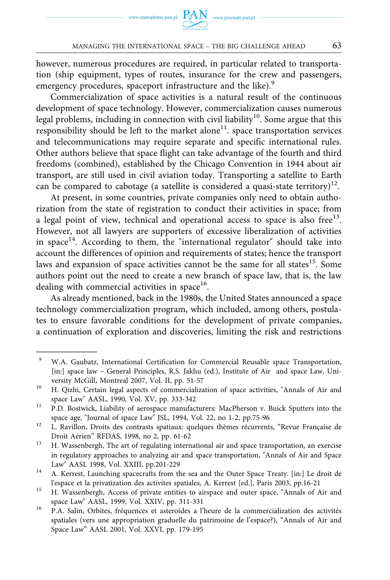however, numerous procedures are required, in particular related to transportation (ship equipment, types of routes, insurance for the crew and passengers, emergency procedures, spaceport infrastructure and the like).<sup>9</sup>

Commercialization of space activities is a natural result of the continuous development of space technology. However, commercialization causes numerous legal problems, including in connection with civil liability<sup>10</sup>. Some argue that this  $r$ esponsibility should be left to the market alone $11$ . space transportation services and telecommunications may require separate and specific international rules. Other authors believe that space flight can take advantage of the fourth and third freedoms (combined), established by the Chicago Convention in 1944 about air transport, are still used in civil aviation today. Transporting a satellite to Earth can be compared to cabotage (a satellite is considered a quasi-state territory)<sup>12</sup>.

At present, in some countries, private companies only need to obtain authorization from the state of registration to conduct their activities in space; from a legal point of view, technical and operational access to space is also free<sup>13</sup>. However, not all lawyers are supporters of excessive liberalization of activities in space<sup>14</sup>. According to them, the "international regulator" should take into account the differences of opinion and requirements of states; hence the transport laws and expansion of space activities cannot be the same for all states<sup>15</sup>. Some authors point out the need to create a new branch of space law, that is, the law dealing with commercial activities in space $16$ .

As already mentioned, back in the 1980s, the United States announced a space technology commercialization program, which included, among others, postulates to ensure favorable conditions for the development of private companies, a continuation of exploration and discoveries, limiting the risk and restrictions

<sup>9</sup> W.A. Gaubatz, International Certification for Commercial Reusable space Transportation, [in:] space law – General Principles, R.S. Jakhu (ed.), Institute of Air and space Law, University McGill, Montreal 2007, Vol. II, pp. 51-57<br><sup>10</sup> H. Qizhi, Certain legal aspects of commercialization of space activities, "Annals of Air and

space Law" AASL, 1990, Vol. XV, pp. 333-342<br><sup>11</sup> P.D. Bostwick, Liability of aerospace manufacturers: MacPherson v. Buick Sputters into the

space age, "Journal of space Law" JSL, 1994, Vol. 22, no 1-2, pp.75-96<br><sup>12</sup> L. Ravillon, Droits des contrasts spatiaux: quelques thèmes récurrents, "Revue Française de

Droit Aérien" RFDAS, 1998, no 2, pp. 61-62<br><sup>13</sup> H. Wassenbergh, The art of regulating international air and space transportation, an exercise

in regulatory approaches to analyzing air and space transportation, "Annals of Air and Space Law" AASL 1998, Vol. XXIII, pp.201-229<br><sup>14</sup> A. Kerrest, Launching spacecrafts from the sea and the Outer Space Treaty. [in:] Le droit de

l'espace et la privatization des activites spatiales, A. Kerrest [ed.], Paris 2003, pp.16-21 15 H. Wassenbergh, Access of private entities to airspace and outer space, "Annals of Air and

space Law" AASL, 1999, Vol. XXIV, pp. 311-331<br><sup>16</sup> P.A. Salin, Orbites, fréquences et asteroïdes a l'heure de la commercialization des activités

spatiales (vers une appropriation graduelle du patrimoine de l'espace?), "Annals of Air and Space Law" AASL 2001, Vol. XXVI, pp. 179-195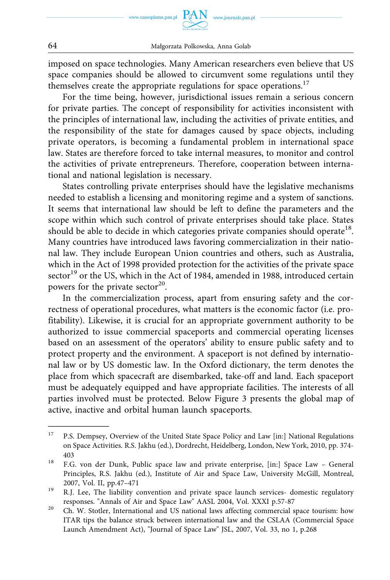imposed on space technologies. Many American researchers even believe that US space companies should be allowed to circumvent some regulations until they themselves create the appropriate regulations for space operations.<sup>17</sup>

For the time being, however, jurisdictional issues remain a serious concern for private parties. The concept of responsibility for activities inconsistent with the principles of international law, including the activities of private entities, and the responsibility of the state for damages caused by space objects, including private operators, is becoming a fundamental problem in international space law. States are therefore forced to take internal measures, to monitor and control the activities of private entrepreneurs. Therefore, cooperation between international and national legislation is necessary.

States controlling private enterprises should have the legislative mechanisms needed to establish a licensing and monitoring regime and a system of sanctions. It seems that international law should be left to define the parameters and the scope within which such control of private enterprises should take place. States should be able to decide in which categories private companies should operate<sup>18</sup>. Many countries have introduced laws favoring commercialization in their national law. They include European Union countries and others, such as Australia, which in the Act of 1998 provided protection for the activities of the private space sector<sup>19</sup> or the US, which in the Act of 1984, amended in 1988, introduced certain powers for the private sector<sup>20</sup>.

In the commercialization process, apart from ensuring safety and the correctness of operational procedures, what matters is the economic factor (i.e. profitability). Likewise, it is crucial for an appropriate government authority to be authorized to issue commercial spaceports and commercial operating licenses based on an assessment of the operators' ability to ensure public safety and to protect property and the environment. A spaceport is not defined by international law or by US domestic law. In the Oxford dictionary, the term denotes the place from which spacecraft are disembarked, take-off and land. Each spaceport must be adequately equipped and have appropriate facilities. The interests of all parties involved must be protected. Below Figure 3 presents the global map of active, inactive and orbital human launch spaceports.

<sup>&</sup>lt;sup>17</sup> P.S. Dempsey, Overview of the United State Space Policy and Law [in:] National Regulations on Space Activities. R.S. Jakhu (ed.), Dordrecht, Heidelberg, London, New York, 2010, pp. 374- 403<br><sup>18</sup> F.G. von der Dunk, Public space law and private enterprise, [in:] Space Law – General

Principles, R.S. Jakhu (ed.), Institute of Air and Space Law, University McGill, Montreal, 2007, Vol. II, pp.47–471 2007, Vol. II, pp.47–471 2007, Vol. II, pp.47–471  $\mu$  R.J. Lee, The liability convention and private space launch services- domestic regulatory

responses. "Annals of Air and Space Law" AASL 2004, Vol. XXXI p.57-87 20 Ch. W. Stotler, International and US national laws affecting commercial space tourism: how

ITAR tips the balance struck between international law and the CSLAA (Commercial Space Launch Amendment Act), "Journal of Space Law" JSL, 2007, Vol. 33, no 1, p.268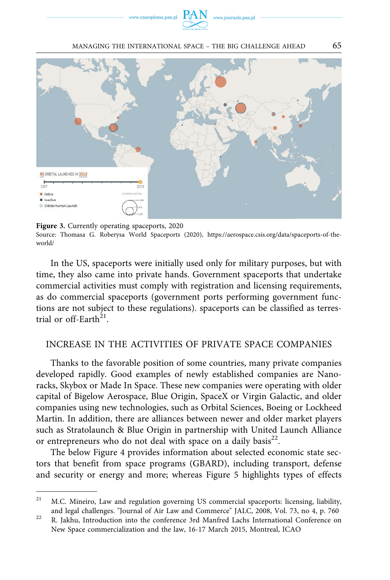www.czasopisma.pan.pl



MANAGING THE INTERNATIONAL SPACE – THE BIG CHALLENGE AHEAD 65



**Figure 3.** Currently operating spaceports, 2020 Source: Thomasa G. Roberysa World Spaceports (2020), [https://aerospace.csis.org/data/spaceports-of-the](https://aerospace.csis.org/data/spaceports-of-the-world/)[world/](https://aerospace.csis.org/data/spaceports-of-the-world/) 

In the US, spaceports were initially used only for military purposes, but with time, they also came into private hands. Government spaceports that undertake commercial activities must comply with registration and licensing requirements, as do commercial spaceports (government ports performing government functions are not subject to these regulations). spaceports can be classified as terrestrial or off-Earth<sup>21</sup>.

#### INCREASE IN THE ACTIVITIES OF PRIVATE SPACE COMPANIES

Thanks to the favorable position of some countries, many private companies developed rapidly. Good examples of newly established companies are Nanoracks, Skybox or Made In Space. These new companies were operating with older capital of Bigelow Aerospace, Blue Origin, SpaceX or Virgin Galactic, and older companies using new technologies, such as Orbital Sciences, Boeing or Lockheed Martin. In addition, there are alliances between newer and older market players such as Stratolaunch & Blue Origin in partnership with United Launch Alliance or entrepreneurs who do not deal with space on a daily basis<sup>22</sup>.

The below Figure 4 provides information about selected economic state sectors that benefit from space programs (GBARD), including transport, defense and security or energy and more; whereas Figure 5 highlights types of effects

<sup>&</sup>lt;sup>21</sup> M.C. Mineiro, Law and regulation governing US commercial spaceports: licensing, liability, and legal challenges. "Journal of Air Law and Commerce" JALC, 2008, Vol. 73, no 4, p. 760<br><sup>22</sup> R. Jakhu, Introduction into the conference 3rd Manfred Lachs International Conference on

New Space commercialization and the law, 16-17 March 2015, Montreal, ICAO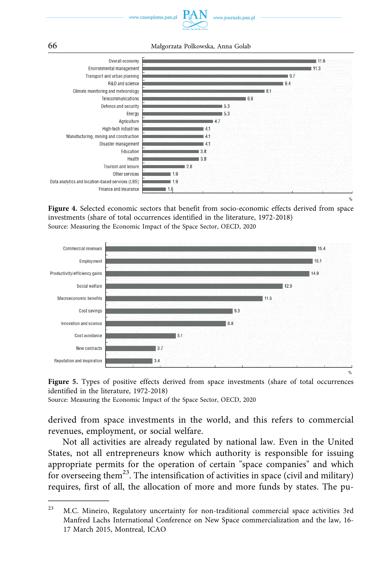

66 Małgorzata Polkowska, Anna Golab



**Figure 4.** Selected economic sectors that benefit from socio-economic effects derived from space investments (share of total occurrences identified in the literature, 1972-2018) Source: Measuring the Economic Impact of the Space Sector, OECD, 2020





Source: Measuring the Economic Impact of the Space Sector, OECD, 2020

derived from space investments in the world, and this refers to commercial revenues, employment, or social welfare.

Not all activities are already regulated by national law. Even in the United States, not all entrepreneurs know which authority is responsible for issuing appropriate permits for the operation of certain "space companies" and which for overseeing them<sup>23</sup>. The intensification of activities in space (civil and military) requires, first of all, the allocation of more and more funds by states. The pu-

<sup>&</sup>lt;sup>23</sup> M.C. Mineiro, Regulatory uncertainty for non-traditional commercial space activities 3rd Manfred Lachs International Conference on New Space commercialization and the law, 16- 17 March 2015, Montreal, ICAO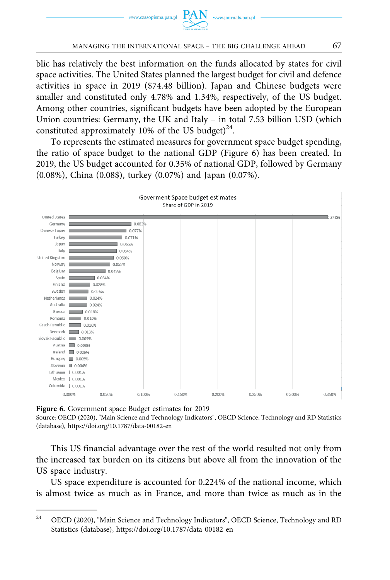

blic has relatively the best information on the funds allocated by states for civil space activities. The United States planned the largest budget for civil and defence activities in space in 2019 (\$74.48 billion). Japan and Chinese budgets were smaller and constituted only 4.78% and 1.34%, respectively, of the US budget. Among other countries, significant budgets have been adopted by the European Union countries: Germany, the UK and Italy – in total 7.53 billion USD (which constituted approximately 10% of the US budget)<sup>24</sup>.

To represents the estimated measures for government space budget spending, the ratio of space budget to the national GDP (Figure 6) has been created. In 2019, the US budget accounted for 0.35% of national GDP, followed by Germany (0.08%), China (0.08\$), turkey (0.07%) and Japan (0.07%).



**Figure 6.** Government space Budget estimates for 2019

Source: OECD (2020), "Main Science and Technology Indicators", OECD Science, Technology and RD Statistics (database), <https://doi.org/10.1787/data-00182-en>

This US financial advantage over the rest of the world resulted not only from the increased tax burden on its citizens but above all from the innovation of the US space industry.

US space expenditure is accounted for 0.224% of the national income, which is almost twice as much as in France, and more than twice as much as in the

<sup>&</sup>lt;sup>24</sup> OECD (2020), "Main Science and Technology Indicators", OECD Science, Technology and RD Statistics (database), <https://doi.org/10.1787/data-00182-en>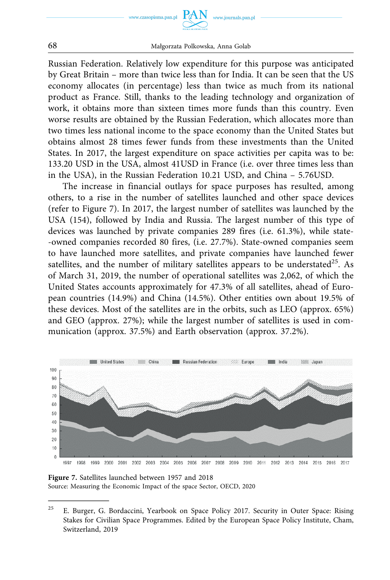



68 Małgorzata Polkowska, Anna Golab

Russian Federation. Relatively low expenditure for this purpose was anticipated by Great Britain – more than twice less than for India. It can be seen that the US economy allocates (in percentage) less than twice as much from its national product as France. Still, thanks to the leading technology and organization of work, it obtains more than sixteen times more funds than this country. Even worse results are obtained by the Russian Federation, which allocates more than two times less national income to the space economy than the United States but obtains almost 28 times fewer funds from these investments than the United States. In 2017, the largest expenditure on space activities per capita was to be: 133.20 USD in the USA, almost 41USD in France (i.e. over three times less than in the USA), in the Russian Federation 10.21 USD, and China – 5.76USD.

The increase in financial outlays for space purposes has resulted, among others, to a rise in the number of satellites launched and other space devices (refer to Figure 7). In 2017, the largest number of satellites was launched by the USA (154), followed by India and Russia. The largest number of this type of devices was launched by private companies 289 fires (i.e. 61.3%), while state- -owned companies recorded 80 fires, (i.e. 27.7%). State-owned companies seem to have launched more satellites, and private companies have launched fewer satellites, and the number of military satellites appears to be understated<sup>25</sup>. As of March 31, 2019, the number of operational satellites was 2,062, of which the United States accounts approximately for 47.3% of all satellites, ahead of European countries (14.9%) and China (14.5%). Other entities own about 19.5% of these devices. Most of the satellites are in the orbits, such as LEO (approx. 65%) and GEO (approx. 27%); while the largest number of satellites is used in communication (approx. 37.5%) and Earth observation (approx. 37.2%).



**Figure 7.** Satellites launched between 1957 and 2018 Source: Measuring the Economic Impact of the space Sector, OECD, 2020

<sup>&</sup>lt;sup>25</sup> E. Burger, G. Bordaccini, Yearbook on Space Policy 2017. Security in Outer Space: Rising Stakes for Civilian Space Programmes. Edited by the European Space Policy Institute, Cham, Switzerland, 2019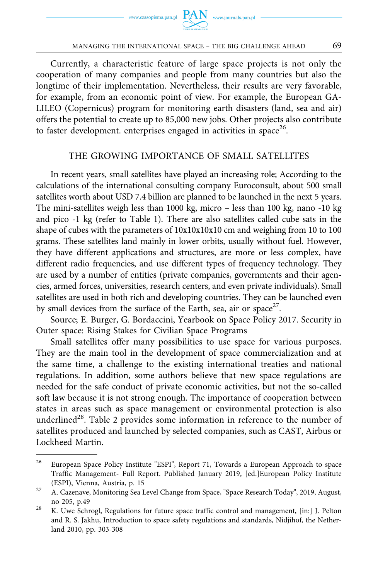Currently, a characteristic feature of large space projects is not only the cooperation of many companies and people from many countries but also the longtime of their implementation. Nevertheless, their results are very favorable, for example, from an economic point of view. For example, the European GA-LILEO (Copernicus) program for monitoring earth disasters (land, sea and air) offers the potential to create up to 85,000 new jobs. Other projects also contribute to faster development. enterprises engaged in activities in space<sup>26</sup>.

#### THE GROWING IMPORTANCE OF SMALL SATELLITES

In recent years, small satellites have played an increasing role; According to the calculations of the international consulting company Euroconsult, about 500 small satellites worth about USD 7.4 billion are planned to be launched in the next 5 years. The mini-satellites weigh less than 1000 kg, micro – less than 100 kg, nano -10 kg and pico -1 kg (refer to Table 1). There are also satellites called cube sats in the shape of cubes with the parameters of 10x10x10x10 cm and weighing from 10 to 100 grams. These satellites land mainly in lower orbits, usually without fuel. However, they have different applications and structures, are more or less complex, have different radio frequencies, and use different types of frequency technology. They are used by a number of entities (private companies, governments and their agencies, armed forces, universities, research centers, and even private individuals). Small satellites are used in both rich and developing countries. They can be launched even by small devices from the surface of the Earth, sea, air or space<sup>27</sup>.

Source; E. Burger, G. Bordaccini, Yearbook on Space Policy 2017. Security in Outer space: Rising Stakes for Civilian Space Programs

Small satellites offer many possibilities to use space for various purposes. They are the main tool in the development of space commercialization and at the same time, a challenge to the existing international treaties and national regulations. In addition, some authors believe that new space regulations are needed for the safe conduct of private economic activities, but not the so-called soft law because it is not strong enough. The importance of cooperation between states in areas such as space management or environmental protection is also underlined<sup>28</sup>. Table 2 provides some information in reference to the number of satellites produced and launched by selected companies, such as CAST, Airbus or Lockheed Martin.

<sup>&</sup>lt;sup>26</sup> European Space Policy Institute "ESPI", Report 71, Towards a European Approach to space Traffic Management- Full Report. Published January 2019, [ed.]European Policy Institute (ESPI), Vienna, Austria, p. 15 27 A. Cazenave, Monitoring Sea Level Change from Space, "Space Research Today", 2019, August,

no 205, p.49<br><sup>28</sup> K. Uwe Schrogl, Regulations for future space traffic control and management, [in:] J. Pelton

and R. S. Jakhu, Introduction to space safety regulations and standards, Nidjihof, the Netherland 2010, pp. 303-308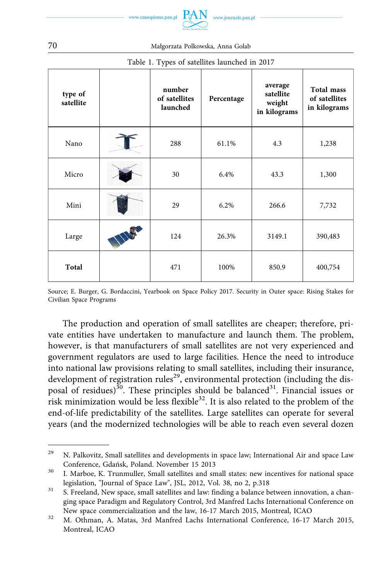

| type of<br>satellite | number<br>of satellites<br>launched | Percentage | average<br>satellite<br>weight<br>in kilograms | Total mass<br>of satellites<br>in kilograms |
|----------------------|-------------------------------------|------------|------------------------------------------------|---------------------------------------------|
| Nano                 | 288                                 | 61.1%      | 4.3                                            | 1,238                                       |
| Micro                | 30                                  | 6.4%       | 43.3                                           | 1,300                                       |
| Mini                 | 29                                  | 6.2%       | 266.6                                          | 7,732                                       |
| Large                | 124                                 | 26.3%      | 3149.1                                         | 390,483                                     |
| Total                | 471                                 | 100%       | 850.9                                          | 400,754                                     |

# Table 1. Types of satellites launched in 2017

Source; E. Burger, G. Bordaccini, Yearbook on Space Policy 2017. Security in Outer space: Rising Stakes for Civilian Space Programs

The production and operation of small satellites are cheaper; therefore, private entities have undertaken to manufacture and launch them. The problem, however, is that manufacturers of small satellites are not very experienced and government regulators are used to large facilities. Hence the need to introduce into national law provisions relating to small satellites, including their insurance, development of registration rules<sup>29</sup>, environmental protection (including the disposal of residues)<sup>30</sup>. These principles should be balanced<sup>31</sup>. Financial issues or risk minimization would be less flexible $3<sup>2</sup>$ . It is also related to the problem of the end-of-life predictability of the satellites. Large satellites can operate for several years (and the modernized technologies will be able to reach even several dozen

70 Małgorzata Polkowska, Anna Golab

<sup>&</sup>lt;sup>29</sup> N. Palkovitz, Small satellites and developments in space law; International Air and space Law

Conference, Gdańsk, Poland. November 15 2013<br><sup>30</sup> I. Marboe, K. Trunmuller, Small satellites and small states: new incentives for national space legislation, "Journal of Space Law", JSL, 2012, Vol. 38, no 2, p.318<br><sup>31</sup> S. Freeland, New space, small satellites and law: finding a balance between innovation, a chan-

ging space Paradigm and Regulatory Control, 3rd Manfred Lachs International Conference on

New space commercialization and the law, 16-17 March 2015, Montreal, ICAO<br><sup>32</sup> M. Othman, A. Matas, 3rd Manfred Lachs International Conference, 16-17 March 2015, Montreal, ICAO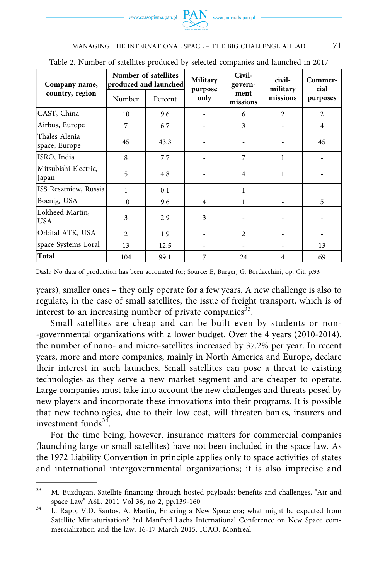www.czasopisma.pan.pl

| Table 2. Number of satellites produced by selected companies and launched in 2017 |                                               |         |                     |                           |                    |                 |  |  |
|-----------------------------------------------------------------------------------|-----------------------------------------------|---------|---------------------|---------------------------|--------------------|-----------------|--|--|
| Company name,                                                                     | Number of satellites<br>produced and launched |         | Military<br>purpose | Civil-<br>govern-<br>ment | civil-<br>military | Commer-<br>cial |  |  |
| country, region                                                                   | Number                                        | Percent | only                | missions                  | missions           | purposes        |  |  |
| CAST, China                                                                       | 10                                            | 9.6     |                     | 6                         | $\overline{2}$     | $\overline{c}$  |  |  |
| Airbus, Europe                                                                    | 7                                             | 6.7     |                     | 3                         |                    | 4               |  |  |
| Thales Alenia<br>space, Europe                                                    | 45                                            | 43.3    |                     |                           |                    | 45              |  |  |
| ISRO, India                                                                       | 8                                             | 7.7     |                     | 7                         | 1                  |                 |  |  |
| Mitsubishi Electric,<br>Japan                                                     | 5                                             | 4.8     |                     | 4                         | 1                  |                 |  |  |
| ISS Resztniew, Russia                                                             | 1                                             | 0.1     |                     | 1                         |                    |                 |  |  |
| Boenig, USA                                                                       | 10                                            | 9.6     | 4                   | 1                         |                    | 5               |  |  |
| Lokheed Martin,<br><b>USA</b>                                                     | 3                                             | 2.9     | 3                   |                           |                    |                 |  |  |
| Orbital ATK, USA                                                                  | $\mathfrak{D}$                                | 1.9     |                     | 2                         |                    |                 |  |  |
| space Systems Loral                                                               | 13                                            | 12.5    |                     |                           |                    | 13              |  |  |
| Total                                                                             | 104                                           | 99.1    | 7                   | 24                        | 4                  | 69              |  |  |

| MANAGING THE INTERNATIONAL SPACE - THE BIG CHALLENGE AHEAD |  |
|------------------------------------------------------------|--|
|                                                            |  |

years), smaller ones – they only operate for a few years. A new challenge is also to regulate, in the case of small satellites, the issue of freight transport, which is of interest to an increasing number of private companies<sup>33</sup>.

Small satellites are cheap and can be built even by students or non- -governmental organizations with a lower budget. Over the 4 years (2010-2014), the number of nano- and micro-satellites increased by 37.2% per year. In recent years, more and more companies, mainly in North America and Europe, declare their interest in such launches. Small satellites can pose a threat to existing technologies as they serve a new market segment and are cheaper to operate. Large companies must take into account the new challenges and threats posed by new players and incorporate these innovations into their programs. It is possible that new technologies, due to their low cost, will threaten banks, insurers and investment funds $34$ .

For the time being, however, insurance matters for commercial companies (launching large or small satellites) have not been included in the space law. As the 1972 Liability Convention in principle applies only to space activities of states and international intergovernmental organizations; it is also imprecise and

<sup>33</sup> M. Buzdugan, Satellite financing through hosted payloads: benefits and challenges, "Air and space Law" ASL. 2011 Vol 36, no 2, pp.139-160<br><sup>34</sup> L. Rapp, V.D. Santos, A. Martin, Entering a New Space era; what might be expected from

Satellite Miniaturisation? 3rd Manfred Lachs International Conference on New Space commercialization and the law, 16-17 March 2015, ICAO, Montreal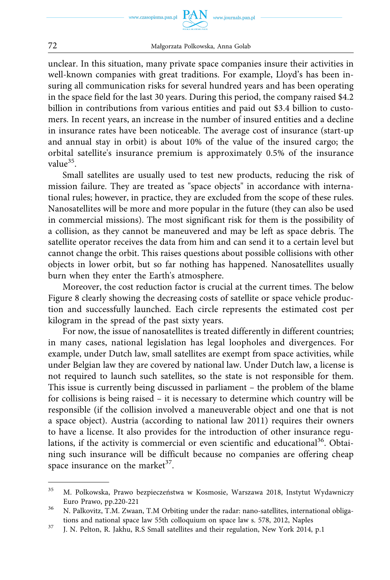



#### 72 Małgorzata Polkowska, Anna Golab

unclear. In this situation, many private space companies insure their activities in well-known companies with great traditions. For example, Lloyd's has been insuring all communication risks for several hundred years and has been operating in the space field for the last 30 years. During this period, the company raised \$4.2 billion in contributions from various entities and paid out \$3.4 billion to customers. In recent years, an increase in the number of insured entities and a decline in insurance rates have been noticeable. The average cost of insurance (start-up and annual stay in orbit) is about 10% of the value of the insured cargo; the orbital satellite's insurance premium is approximately 0.5% of the insurance value $35$ .

Small satellites are usually used to test new products, reducing the risk of mission failure. They are treated as "space objects" in accordance with international rules; however, in practice, they are excluded from the scope of these rules. Nanosatellites will be more and more popular in the future (they can also be used in commercial missions). The most significant risk for them is the possibility of a collision, as they cannot be maneuvered and may be left as space debris. The satellite operator receives the data from him and can send it to a certain level but cannot change the orbit. This raises questions about possible collisions with other objects in lower orbit, but so far nothing has happened. Nanosatellites usually burn when they enter the Earth's atmosphere.

Moreover, the cost reduction factor is crucial at the current times. The below Figure 8 clearly showing the decreasing costs of satellite or space vehicle production and successfully launched. Each circle represents the estimated cost per kilogram in the spread of the past sixty years.

For now, the issue of nanosatellites is treated differently in different countries; in many cases, national legislation has legal loopholes and divergences. For example, under Dutch law, small satellites are exempt from space activities, while under Belgian law they are covered by national law. Under Dutch law, a license is not required to launch such satellites, so the state is not responsible for them. This issue is currently being discussed in parliament – the problem of the blame for collisions is being raised – it is necessary to determine which country will be responsible (if the collision involved a maneuverable object and one that is not a space object). Austria (according to national law 2011) requires their owners to have a license. It also provides for the introduction of other insurance regulations, if the activity is commercial or even scientific and educational<sup>36</sup>. Obtaining such insurance will be difficult because no companies are offering cheap space insurance on the market $37$ .

<sup>35</sup> M. Polkowska, Prawo bezpieczeństwa w Kosmosie, Warszawa 2018, Instytut Wydawniczy

Euro Prawo, pp.220-221<br><sup>36</sup> N. Palkovitz, T.M. Zwaan, T.M Orbiting under the radar: nano-satellites, international obliga-

tions and national space law 55th colloquium on space law s. 578, 2012, Naples J. N. Pelton, R. Jakhu, R.S Small satellites and their regulation, New York 2014, p.1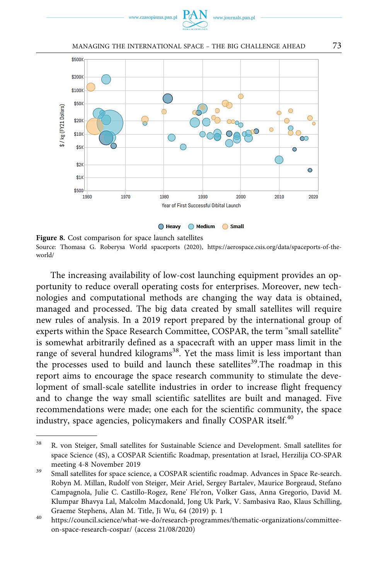

MANAGING THE INTERNATIONAL SPACE - THE BIG CHALLENGE AHEAD 73



**Figure 8.** Cost comparison for space launch satellites Source: Thomasa G. Roberysa World spaceports (2020), [https://aerospace.csis.org/data/spaceports-of-the](https://aerospace.csis.org/data/spaceports-of-the-world/)[world/](https://aerospace.csis.org/data/spaceports-of-the-world/) 

The increasing availability of low-cost launching equipment provides an opportunity to reduce overall operating costs for enterprises. Moreover, new technologies and computational methods are changing the way data is obtained, managed and processed. The big data created by small satellites will require new rules of analysis. In a 2019 report prepared by the international group of experts within the Space Research Committee, COSPAR, the term "small satellite" is somewhat arbitrarily defined as a spacecraft with an upper mass limit in the range of several hundred kilograms<sup>38</sup>. Yet the mass limit is less important than the processes used to build and launch these satellites<sup>39</sup>. The roadmap in this report aims to encourage the space research community to stimulate the development of small-scale satellite industries in order to increase flight frequency and to change the way small scientific satellites are built and managed. Five recommendations were made; one each for the scientific community, the space industry, space agencies, policymakers and finally COSPAR itself.<sup>40</sup>

<sup>38</sup> R. von Steiger, Small satellites for Sustainable Science and Development. Small satellites for space Science (4S), a COSPAR Scientific Roadmap, presentation at Israel, Herzilija CO-SPAR meeting 4-8 November 2019<br>39 Small satellites for space science, a COSPAR scientific roadmap. Advances in Space Re-search.

Robyn M. Millan, Rudolf von Steiger, Meir Ariel, Sergey Bartalev, Maurice Borgeaud, Stefano Campagnola, Julie C. Castillo-Rogez, Rene' Fle'ron, Volker Gass, Anna Gregorio, David M. Klumpar Bhavya Lal, Malcolm Macdonald, Jong Uk Park, V. Sambasiva Rao, Klaus Schilling, Graeme Stephens, Alan M. Title, Ji Wu, 64 (2019) p. 1<br>
<sup>40</sup> [https://council.science/what-we-do/research-programmes/thematic-organizations/committee-](https://council.science/what-we-do/research-programmes/thematic-organizations/committee-on-space-research-cospar/)

[on-space-research-cospar/](https://council.science/what-we-do/research-programmes/thematic-organizations/committee-on-space-research-cospar/) (access 21/08/2020)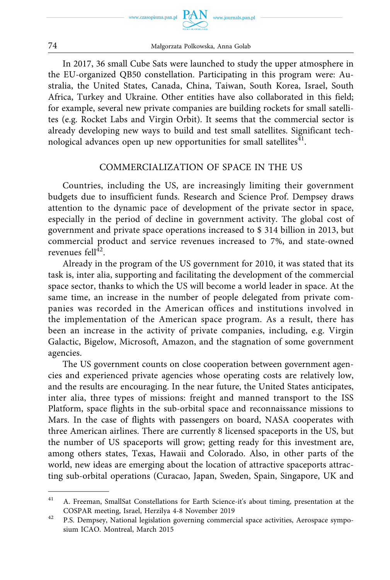

In 2017, 36 small Cube Sats were launched to study the upper atmosphere in the EU-organized QB50 constellation. Participating in this program were: Australia, the United States, Canada, China, Taiwan, South Korea, Israel, South Africa, Turkey and Ukraine. Other entities have also collaborated in this field; for example, several new private companies are building rockets for small satellites (e.g. Rocket Labs and Virgin Orbit). It seems that the commercial sector is already developing new ways to build and test small satellites. Significant technological advances open up new opportunities for small satellites $41$ .

#### COMMERCIALIZATION OF SPACE IN THE US

Countries, including the US, are increasingly limiting their government budgets due to insufficient funds. Research and Science Prof. Dempsey draws attention to the dynamic pace of development of the private sector in space, especially in the period of decline in government activity. The global cost of government and private space operations increased to \$ 314 billion in 2013, but commercial product and service revenues increased to 7%, and state-owned revenues fell $^{42}$ .

Already in the program of the US government for 2010, it was stated that its task is, inter alia, supporting and facilitating the development of the commercial space sector, thanks to which the US will become a world leader in space. At the same time, an increase in the number of people delegated from private companies was recorded in the American offices and institutions involved in the implementation of the American space program. As a result, there has been an increase in the activity of private companies, including, e.g. Virgin Galactic, Bigelow, Microsoft, Amazon, and the stagnation of some government agencies.

The US government counts on close cooperation between government agencies and experienced private agencies whose operating costs are relatively low, and the results are encouraging. In the near future, the United States anticipates, inter alia, three types of missions: freight and manned transport to the ISS Platform, space flights in the sub-orbital space and reconnaissance missions to Mars. In the case of flights with passengers on board, NASA cooperates with three American airlines. There are currently 8 licensed spaceports in the US, but the number of US spaceports will grow; getting ready for this investment are, among others states, Texas, Hawaii and Colorado. Also, in other parts of the world, new ideas are emerging about the location of attractive spaceports attracting sub-orbital operations (Curacao, Japan, Sweden, Spain, Singapore, UK and

<sup>41</sup> A. Freeman, SmallSat Constellations for Earth Science-it's about timing, presentation at the COSPAR meeting, Israel, Herzilya 4-8 November 2019 42 P.S. Dempsey, National legislation governing commercial space activities, Aerospace sympo-

sium ICAO. Montreal, March 2015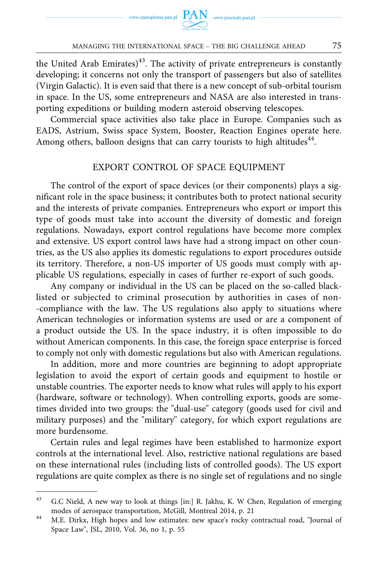the United Arab Emirates) $43$ . The activity of private entrepreneurs is constantly developing; it concerns not only the transport of passengers but also of satellites (Virgin Galactic). It is even said that there is a new concept of sub-orbital tourism in space. In the US, some entrepreneurs and NASA are also interested in transporting expeditions or building modern asteroid observing telescopes.

Commercial space activities also take place in Europe. Companies such as EADS, Astrium, Swiss space System, Booster, Reaction Engines operate here. Among others, balloon designs that can carry tourists to high altitudes<sup>44</sup>.

#### EXPORT CONTROL OF SPACE EQUIPMENT

The control of the export of space devices (or their components) plays a significant role in the space business; it contributes both to protect national security and the interests of private companies. Entrepreneurs who export or import this type of goods must take into account the diversity of domestic and foreign regulations. Nowadays, export control regulations have become more complex and extensive. US export control laws have had a strong impact on other countries, as the US also applies its domestic regulations to export procedures outside its territory. Therefore, a non-US importer of US goods must comply with applicable US regulations, especially in cases of further re-export of such goods.

Any company or individual in the US can be placed on the so-called blacklisted or subjected to criminal prosecution by authorities in cases of non- -compliance with the law. The US regulations also apply to situations where American technologies or information systems are used or are a component of a product outside the US. In the space industry, it is often impossible to do without American components. In this case, the foreign space enterprise is forced to comply not only with domestic regulations but also with American regulations.

In addition, more and more countries are beginning to adopt appropriate legislation to avoid the export of certain goods and equipment to hostile or unstable countries. The exporter needs to know what rules will apply to his export (hardware, software or technology). When controlling exports, goods are sometimes divided into two groups: the "dual-use" category (goods used for civil and military purposes) and the "military" category, for which export regulations are more burdensome.

Certain rules and legal regimes have been established to harmonize export controls at the international level. Also, restrictive national regulations are based on these international rules (including lists of controlled goods). The US export regulations are quite complex as there is no single set of regulations and no single

<sup>43</sup> G.C Nield, A new way to look at things [in:] R. Jakhu, K. W Chen, Regulation of emerging modes of aerospace transportation, McGill, Montreal 2014, p. 21<br><sup>44</sup> M.E. Dirkx, High hopes and low estimates: new space's rocky contractual road, "Journal of

Space Law", JSL, 2010, Vol. 36, no 1, p. 55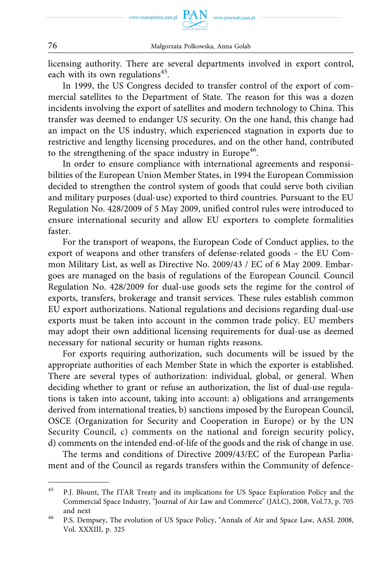

licensing authority. There are several departments involved in export control, each with its own regulations<sup>45</sup>.

In 1999, the US Congress decided to transfer control of the export of commercial satellites to the Department of State. The reason for this was a dozen incidents involving the export of satellites and modern technology to China. This transfer was deemed to endanger US security. On the one hand, this change had an impact on the US industry, which experienced stagnation in exports due to restrictive and lengthy licensing procedures, and on the other hand, contributed to the strengthening of the space industry in Europe<sup>46</sup>.

In order to ensure compliance with international agreements and responsibilities of the European Union Member States, in 1994 the European Commission decided to strengthen the control system of goods that could serve both civilian and military purposes (dual-use) exported to third countries. Pursuant to the EU Regulation No. 428/2009 of 5 May 2009, unified control rules were introduced to ensure international security and allow EU exporters to complete formalities faster.

For the transport of weapons, the European Code of Conduct applies, to the export of weapons and other transfers of defense-related goods – the EU Common Military List, as well as Directive No. 2009/43 / EC of 6 May 2009. Embargoes are managed on the basis of regulations of the European Council. Council Regulation No. 428/2009 for dual-use goods sets the regime for the control of exports, transfers, brokerage and transit services. These rules establish common EU export authorizations. National regulations and decisions regarding dual-use exports must be taken into account in the common trade policy. EU members may adopt their own additional licensing requirements for dual-use as deemed necessary for national security or human rights reasons.

For exports requiring authorization, such documents will be issued by the appropriate authorities of each Member State in which the exporter is established. There are several types of authorization: individual, global, or general. When deciding whether to grant or refuse an authorization, the list of dual-use regulations is taken into account, taking into account: a) obligations and arrangements derived from international treaties, b) sanctions imposed by the European Council, OSCE (Organization for Security and Cooperation in Europe) or by the UN Security Council, c) comments on the national and foreign security policy, d) comments on the intended end-of-life of the goods and the risk of change in use.

The terms and conditions of Directive 2009/43/EC of the European Parliament and of the Council as regards transfers within the Community of defence-

<sup>&</sup>lt;sup>45</sup> P.J. Blount, The ITAR Treaty and its implications for US Space Exploration Policy and the Commercial Space Industry, "Journal of Air Law and Commerce" (JALC), 2008, Vol.73, p. 705 and next<br><sup>46</sup> P.S. Dempsey, The evolution of US Space Policy, "Annals of Air and Space Law, AASL 2008,

Vol. XXXIII, p. 325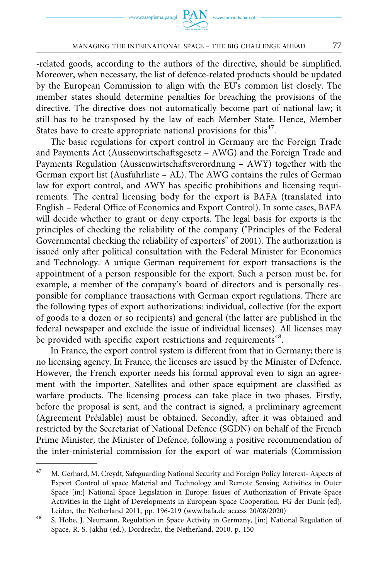-related goods, according to the authors of the directive, should be simplified. Moreover, when necessary, the list of defence-related products should be updated by the European Commission to align with the EU's common list closely. The member states should determine penalties for breaching the provisions of the directive. The directive does not automatically become part of national law; it still has to be transposed by the law of each Member State. Hence, Member States have to create appropriate national provisions for this<sup>47</sup>.

The basic regulations for export control in Germany are the Foreign Trade and Payments Act (Aussenwirtschaftsgesetz – AWG) and the Foreign Trade and Payments Regulation (Aussenwirtschaftsverordnung – AWY) together with the German export list (Ausfuhrliste – AL). The AWG contains the rules of German law for export control, and AWY has specific prohibitions and licensing requirements. The central licensing body for the export is BAFA (translated into English – Federal Office of Economics and Export Control). In some cases, BAFA will decide whether to grant or deny exports. The legal basis for exports is the principles of checking the reliability of the company ("Principles of the Federal Governmental checking the reliability of exporters" of 2001). The authorization is issued only after political consultation with the Federal Minister for Economics and Technology. A unique German requirement for export transactions is the appointment of a person responsible for the export. Such a person must be, for example, a member of the company's board of directors and is personally responsible for compliance transactions with German export regulations. There are the following types of export authorizations: individual, collective (for the export of goods to a dozen or so recipients) and general (the latter are published in the federal newspaper and exclude the issue of individual licenses). All licenses may be provided with specific export restrictions and requirements<sup>48</sup>.

In France, the export control system is different from that in Germany; there is no licensing agency. In France, the licenses are issued by the Minister of Defence. However, the French exporter needs his formal approval even to sign an agreement with the importer. Satellites and other space equipment are classified as warfare products. The licensing process can take place in two phases. Firstly, before the proposal is sent, and the contract is signed, a preliminary agreement (Agreement Préalable) must be obtained. Secondly, after it was obtained and restricted by the Secretariat of National Defence (SGDN) on behalf of the French Prime Minister, the Minister of Defence, following a positive recommendation of the inter-ministerial commission for the export of war materials (Commission

<sup>47</sup> M. Gerhard, M. Creydt, Safeguarding National Security and Foreign Policy Interest- Aspects of Export Control of space Material and Technology and Remote Sensing Activities in Outer Space [in:] National Space Legislation in Europe: Issues of Authorization of Private Space Activities in the Light of Developments in European Space Cooperation. FG der Dunk (ed). Leiden, the Netherland 2011, pp. 196-219 (www.bafa.de access 20/08/2020)<br><sup>48</sup> S. Hobe, J. Neumann, Regulation in Space Activity in Germany, [in:] National Regulation of

Space, R. S. Jakhu (ed.), Dordrecht, the Netherland, 2010, p. 150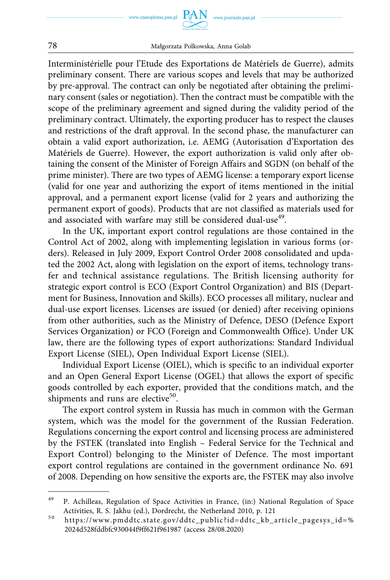www.journals.pan.p



78 Małgorzata Polkowska, Anna Golab

Interministérielle pour l'Etude des Exportations de Matériels de Guerre), admits preliminary consent. There are various scopes and levels that may be authorized by pre-approval. The contract can only be negotiated after obtaining the preliminary consent (sales or negotiation). Then the contract must be compatible with the scope of the preliminary agreement and signed during the validity period of the preliminary contract. Ultimately, the exporting producer has to respect the clauses and restrictions of the draft approval. In the second phase, the manufacturer can obtain a valid export authorization, i.e. AEMG (Autorisation d'Exportation des Matériels de Guerre). However, the export authorization is valid only after obtaining the consent of the Minister of Foreign Affairs and SGDN (on behalf of the prime minister). There are two types of AEMG license: a temporary export license (valid for one year and authorizing the export of items mentioned in the initial approval, and a permanent export license (valid for 2 years and authorizing the permanent export of goods). Products that are not classified as materials used for and associated with warfare may still be considered dual-use<sup>49</sup>.

In the UK, important export control regulations are those contained in the Control Act of 2002, along with implementing legislation in various forms (orders). Released in July 2009, Export Control Order 2008 consolidated and updated the 2002 Act, along with legislation on the export of items, technology transfer and technical assistance regulations. The British licensing authority for strategic export control is ECO (Export Control Organization) and BIS (Department for Business, Innovation and Skills). ECO processes all military, nuclear and dual-use export licenses. Licenses are issued (or denied) after receiving opinions from other authorities, such as the Ministry of Defence, DESO (Defence Export Services Organization) or FCO (Foreign and Commonwealth Office). Under UK law, there are the following types of export authorizations: Standard Individual Export License (SIEL), Open Individual Export License (SIEL).

Individual Export License (OIEL), which is specific to an individual exporter and an Open General Export License (OGEL) that allows the export of specific goods controlled by each exporter, provided that the conditions match, and the shipments and runs are elective<sup>50</sup>.

The export control system in Russia has much in common with the German system, which was the model for the government of the Russian Federation. Regulations concerning the export control and licensing process are administered by the FSTEK (translated into English – Federal Service for the Technical and Export Control) belonging to the Minister of Defence. The most important export control regulations are contained in the government ordinance No. 691 of 2008. Depending on how sensitive the exports are, the FSTEK may also involve

<sup>&</sup>lt;sup>49</sup> P. Achilleas, Regulation of Space Activities in France, (in:) National Regulation of Space Activities, R. S. Jakhu (ed.), Dordrecht, the Netherland 2010, p. 121<br><sup>50</sup> https://www.pmddtc.state.gov/ddtc\_public?id=ddtc\_kb\_article\_pagesys\_id=%

[<sup>2024</sup>d528fddbfc930044f9ff621f961987](https://www.pmddtc.state.gov/ddtc_public?id=ddtc_kb_article_page&sys_id=%2024d528fddbfc930044f9ff621f961987) (access 28/08.2020)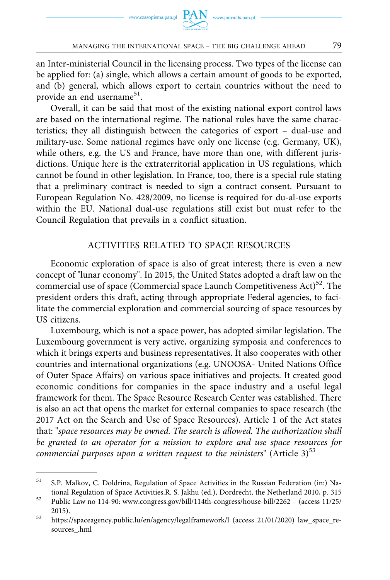an Inter-ministerial Council in the licensing process. Two types of the license can be applied for: (a) single, which allows a certain amount of goods to be exported, and (b) general, which allows export to certain countries without the need to provide an end username<sup>51</sup>.

Overall, it can be said that most of the existing national export control laws are based on the international regime. The national rules have the same characteristics; they all distinguish between the categories of export – dual-use and military-use. Some national regimes have only one license (e.g. Germany, UK), while others, e.g. the US and France, have more than one, with different jurisdictions. Unique here is the extraterritorial application in US regulations, which cannot be found in other legislation. In France, too, there is a special rule stating that a preliminary contract is needed to sign a contract consent. Pursuant to European Regulation No. 428/2009, no license is required for du-al-use exports within the EU. National dual-use regulations still exist but must refer to the Council Regulation that prevails in a conflict situation.

### ACTIVITIES RELATED TO SPACE RESOURCES

Economic exploration of space is also of great interest; there is even a new concept of "lunar economy". In 2015, the United States adopted a draft law on the commercial use of space (Commercial space Launch Competitiveness  $Act)^{52}$ . The president orders this draft, acting through appropriate Federal agencies, to facilitate the commercial exploration and commercial sourcing of space resources by US citizens.

Luxembourg, which is not a space power, has adopted similar legislation. The Luxembourg government is very active, organizing symposia and conferences to which it brings experts and business representatives. It also cooperates with other countries and international organizations (e.g. UNOOSA- United Nations Office of Outer Space Affairs) on various space initiatives and projects. It created good economic conditions for companies in the space industry and a useful legal framework for them. The Space Resource Research Center was established. There is also an act that opens the market for external companies to space research (the 2017 Act on the Search and Use of Space Resources). Article 1 of the Act states that: "*space resources may be owned. The search is allowed. The authorization shall be granted to an operator for a mission to explore and use space resources for commercial purposes upon a written request to the ministers*" (Article 3)<sup>53</sup>

<sup>51</sup> S.P. Malkov, C. Doldrina, Regulation of Space Activities in the Russian Federation (in:) Na-

tional Regulation of Space Activities.R. S. Jakhu (ed.), Dordrecht, the Netherland 2010, p. 315 52 Public Law no 114-90: www.congress.gov/bill/114th-congress/house-bill/2262 – (access 11/25/ 2015).<br><sup>53</sup> <https://spaceagency.public.lu/en/agency/legalframework/l> (access 21/01/2020) law\_space\_re-

sources\_.hml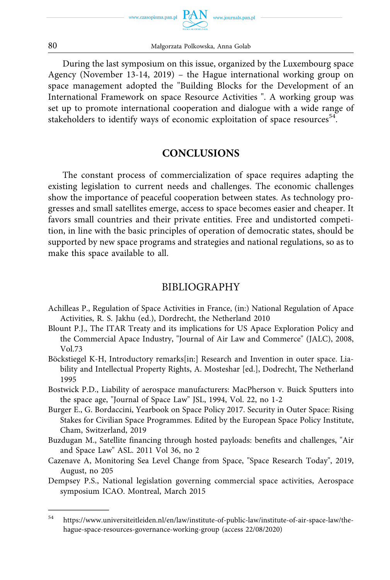

During the last symposium on this issue, organized by the Luxembourg space Agency (November 13-14, 2019) – the Hague international working group on space management adopted the "Building Blocks for the Development of an International Framework on space Resource Activities ". A working group was set up to promote international cooperation and dialogue with a wide range of stakeholders to identify ways of economic exploitation of space resources<sup>54</sup>.

### **CONCLUSIONS**

The constant process of commercialization of space requires adapting the existing legislation to current needs and challenges. The economic challenges show the importance of peaceful cooperation between states. As technology progresses and small satellites emerge, access to space becomes easier and cheaper. It favors small countries and their private entities. Free and undistorted competition, in line with the basic principles of operation of democratic states, should be supported by new space programs and strategies and national regulations, so as to make this space available to all.

## BIBLIOGRAPHY

- Achilleas P., Regulation of Space Activities in France, (in:) National Regulation of Apace Activities, R. S. Jakhu (ed.), Dordrecht, the Netherland 2010
- Blount P.J., The ITAR Treaty and its implications for US Apace Exploration Policy and the Commercial Apace Industry, "Journal of Air Law and Commerce" (JALC), 2008, Vol.73
- Böckstiegel K-H, Introductory remarks[in:] Research and Invention in outer space. Liability and Intellectual Property Rights, A. Mosteshar [ed.], Dodrecht, The Netherland 1995
- Bostwick P.D., Liability of aerospace manufacturers: MacPherson v. Buick Sputters into the space age, "Journal of Space Law" JSL, 1994, Vol. 22, no 1-2
- Burger E., G. Bordaccini, Yearbook on Space Policy 2017. Security in Outer Space: Rising Stakes for Civilian Space Programmes. Edited by the European Space Policy Institute, Cham, Switzerland, 2019
- Buzdugan M., Satellite financing through hosted payloads: benefits and challenges, "Air and Space Law" ASL. 2011 Vol 36, no 2
- Cazenave A, Monitoring Sea Level Change from Space, "Space Research Today", 2019, August, no 205
- Dempsey P.S., National legislation governing commercial space activities, Aerospace symposium ICAO. Montreal, March 2015

<sup>54</sup> [https://www.universiteitleiden.nl/en/law/institute-of-public-law/institute-of-air-space-law/the](https://www.universiteitleiden.nl/en/law/institute-of-public-law/institute-of-air-space-law/the-hague-space-resources-governance-working-group)[hague-space-resources-governance-working-group](https://www.universiteitleiden.nl/en/law/institute-of-public-law/institute-of-air-space-law/the-hague-space-resources-governance-working-group) (access 22/08/2020)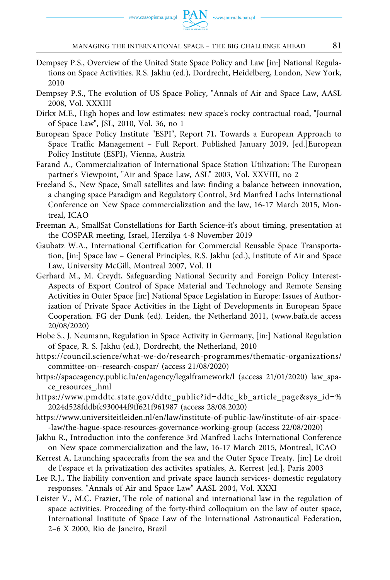- Dempsey P.S., Overview of the United State Space Policy and Law [in:] National Regulations on Space Activities. R.S. Jakhu (ed.), Dordrecht, Heidelberg, London, New York, 2010
- Dempsey P.S., The evolution of US Space Policy, "Annals of Air and Space Law, AASL 2008, Vol. XXXIII
- Dirkx M.E., High hopes and low estimates: new space's rocky contractual road, "Journal of Space Law", JSL, 2010, Vol. 36, no 1
- European Space Policy Institute "ESPI", Report 71, Towards a European Approach to Space Traffic Management – Full Report. Published January 2019, [ed.]European Policy Institute (ESPI), Vienna, Austria
- Farand A., Commercialization of International Space Station Utilization: The European partner's Viewpoint, "Air and Space Law, ASL" 2003, Vol. XXVIII, no 2
- Freeland S., New Space, Small satellites and law: finding a balance between innovation, a changing space Paradigm and Regulatory Control, 3rd Manfred Lachs International Conference on New Space commercialization and the law, 16-17 March 2015, Montreal, ICAO
- Freeman A., SmallSat Constellations for Earth Science-it's about timing, presentation at the COSPAR meeting, Israel, Herzilya 4-8 November 2019
- Gaubatz W.A., International Certification for Commercial Reusable Space Transportation, [in:] Space law – General Principles, R.S. Jakhu (ed.), Institute of Air and Space Law, University McGill, Montreal 2007, Vol. II
- Gerhard M., M. Creydt, Safeguarding National Security and Foreign Policy Interest-Aspects of Export Control of Space Material and Technology and Remote Sensing Activities in Outer Space [in:] National Space Legislation in Europe: Issues of Authorization of Private Space Activities in the Light of Developments in European Space Cooperation. FG der Dunk (ed). Leiden, the Netherland 2011, (www.bafa.de access 20/08/2020)
- Hobe S., J. Neumann, Regulation in Space Activity in Germany, [in:] National Regulation of Space, R. S. Jakhu (ed.), Dordrecht, the Netherland, 2010
- [https://council.science/what-we-do/research-programmes/thematic-organizations/](https://council.science/what-we-do/research-programmes/thematic-organizations/committee-on--research-cospar/)  [committee-on--research-cospar/](https://council.science/what-we-do/research-programmes/thematic-organizations/committee-on--research-cospar/) (access 21/08/2020)
- <https://spaceagency.public.lu/en/agency/legalframework/l> (access 21/01/2020) law\_space\_resources\_.hml
- [https://www.pmddtc.state.gov/ddtc\\_public?id=ddtc\\_kb\\_article\\_page&sys\\_id=%](https://www.pmddtc.state.gov/ddtc_public?id=ddtc_kb_article_page&sys_id=%2024d528fddbfc930044f9ff621f961987) [2024d528fddbfc930044f9ff621f961987](https://www.pmddtc.state.gov/ddtc_public?id=ddtc_kb_article_page&sys_id=%2024d528fddbfc930044f9ff621f961987) (access 28/08.2020)
- [https://www.universiteitleiden.nl/en/law/institute-of-public-law/institute-of-air-space-](https://www.universiteitleiden.nl/en/law/institute-of-public-law/institute-of-air-space-law/the-hague-space-resources-governance-working-group) [-law/the-hague-space-resources-governance-working-group](https://www.universiteitleiden.nl/en/law/institute-of-public-law/institute-of-air-space-law/the-hague-space-resources-governance-working-group) (access 22/08/2020)
- Jakhu R., Introduction into the conference 3rd Manfred Lachs International Conference on New space commercialization and the law, 16-17 March 2015, Montreal, ICAO
- Kerrest A, Launching spacecrafts from the sea and the Outer Space Treaty. [in:] Le droit de l'espace et la privatization des activites spatiales, A. Kerrest [ed.], Paris 2003
- Lee R.J., The liability convention and private space launch services- domestic regulatory responses. "Annals of Air and Space Law" AASL 2004, Vol. XXXI
- Leister V., M.C. Frazier, The role of national and international law in the regulation of space activities. Proceeding of the forty-third colloquium on the law of outer space, International Institute of Space Law of the International Astronautical Federation, 2–6 X 2000, Rio de Janeiro, Brazil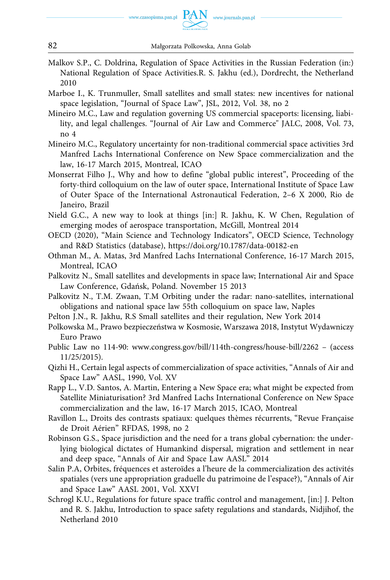- Malkov S.P., C. Doldrina, Regulation of Space Activities in the Russian Federation (in:) National Regulation of Space Activities.R. S. Jakhu (ed.), Dordrecht, the Netherland 2010
- Marboe I., K. Trunmuller, Small satellites and small states: new incentives for national space legislation, "Journal of Space Law", JSL, 2012, Vol. 38, no 2
- Mineiro M.C., Law and regulation governing US commercial spaceports: licensing, liability, and legal challenges. "Journal of Air Law and Commerce" JALC, 2008, Vol. 73, no 4
- Mineiro M.C., Regulatory uncertainty for non-traditional commercial space activities 3rd Manfred Lachs International Conference on New Space commercialization and the law, 16-17 March 2015, Montreal, ICAO
- Monserrat Filho J., Why and how to define "global public interest", Proceeding of the forty-third colloquium on the law of outer space, International Institute of Space Law of Outer Space of the International Astronautical Federation, 2–6 X 2000, Rio de Janeiro, Brazil
- Nield G.C., A new way to look at things [in:] R. Jakhu, K. W Chen, Regulation of emerging modes of aerospace transportation, McGill, Montreal 2014
- OECD (2020), "Main Science and Technology Indicators", OECD Science, Technology and R&D Statistics (database), <https://doi.org/10.1787/data-00182-en>
- Othman M., A. Matas, 3rd Manfred Lachs International Conference, 16-17 March 2015, Montreal, ICAO
- Palkovitz N., Small satellites and developments in space law; International Air and Space Law Conference, Gdańsk, Poland. November 15 2013
- Palkovitz N., T.M. Zwaan, T.M Orbiting under the radar: nano-satellites, international obligations and national space law 55th colloquium on space law, Naples
- Pelton J.N., R. Jakhu, R.S Small satellites and their regulation, New York 2014
- Polkowska M., Prawo bezpieczeństwa w Kosmosie, Warszawa 2018, Instytut Wydawniczy Euro Prawo
- Public Law no 114-90: www.congress.gov/bill/114th-congress/house-bill/2262 (access 11/25/2015).
- Qizhi H., Certain legal aspects of commercialization of space activities, "Annals of Air and Space Law" AASL, 1990, Vol. XV
- Rapp L., V.D. Santos, A. Martin, Entering a New Space era; what might be expected from Satellite Miniaturisation? 3rd Manfred Lachs International Conference on New Space commercialization and the law, 16-17 March 2015, ICAO, Montreal
- Ravillon L., Droits des contrasts spatiaux: quelques thèmes récurrents, "Revue Française de Droit Aérien" RFDAS, 1998, no 2
- Robinson G.S., Space jurisdiction and the need for a trans global cybernation: the underlying biological dictates of Humankind dispersal, migration and settlement in near and deep space, "Annals of Air and Space Law AASL" 2014
- Salin P.A, Orbites, fréquences et asteroїdes a l'heure de la commercialization des activités spatiales (vers une appropriation graduelle du patrimoine de l'espace?), "Annals of Air and Space Law" AASL 2001, Vol. XXVI
- Schrogl K.U., Regulations for future space traffic control and management, [in:] J. Pelton and R. S. Jakhu, Introduction to space safety regulations and standards, Nidjihof, the Netherland 2010